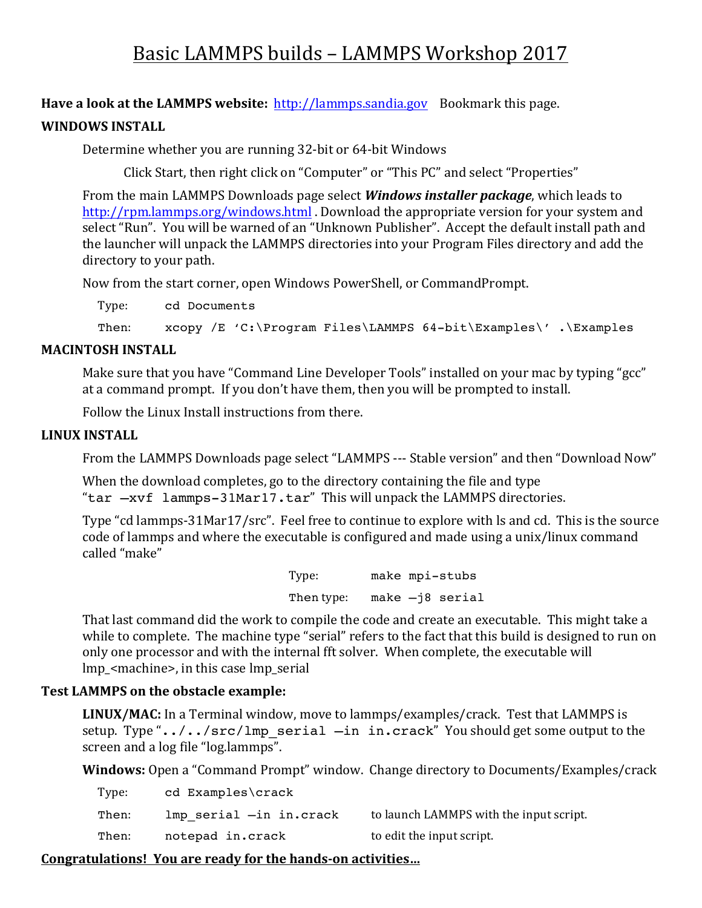# Basic LAMMPS builds - LAMMPS Workshop 2017

**Have a look at the LAMMPS website:** http://lammps.sandia.gov Bookmark this page. **WINDOWS INSTALL** 

Determine whether you are running 32-bit or 64-bit Windows

Click Start, then right click on "Computer" or "This PC" and select "Properties"

From the main LAMMPS Downloads page select **Windows installer package**, which leads to http://rpm.lammps.org/windows.html . Download the appropriate version for your system and select "Run". You will be warned of an "Unknown Publisher". Accept the default install path and the launcher will unpack the LAMMPS directories into your Program Files directory and add the directory to your path.

Now from the start corner, open Windows PowerShell, or CommandPrompt.

Type: cd Documents

Then: xcopy /E 'C:\Program Files\LAMMPS 64-bit\Examples\' .\Examples

#### **MACINTOSH INSTALL**

Make sure that you have "Command Line Developer Tools" installed on your mac by typing "gcc" at a command prompt. If you don't have them, then you will be prompted to install.

Follow the Linux Install instructions from there.

#### **LINUX INSTALL**

From the LAMMPS Downloads page select "LAMMPS --- Stable version" and then "Download Now"

When the download completes, go to the directory containing the file and type "tar -xvf lammps-31Mar17.tar" This will unpack the LAMMPS directories.

Type "cd lammps-31Mar17/src". Feel free to continue to explore with ls and cd. This is the source code of lammps and where the executable is configured and made using a unix/linux command called "make"

> Type: make mpi-stubs Then type: make -j8 serial

That last command did the work to compile the code and create an executable. This might take a while to complete. The machine type "serial" refers to the fact that this build is designed to run on only one processor and with the internal fft solver. When complete, the executable will lmp\_<machine>, in this case lmp\_serial

## **Test LAMMPS on the obstacle example:**

**LINUX/MAC:** In a Terminal window, move to lammps/examples/crack. Test that LAMMPS is setup. Type "../../src/lmp\_serial  $-\text{in incrack}$ " You should get some output to the screen and a log file "log.lammps".

**Windows:** Open a "Command Prompt" window. Change directory to Documents/Examples/crack

| Type: | cd Examples\crack       |                                         |
|-------|-------------------------|-----------------------------------------|
| Then: | lmp serial -in in.crack | to launch LAMMPS with the input script. |
| Then: | notepad in.crack        | to edit the input script.               |

## Congratulations! You are ready for the hands-on activities...